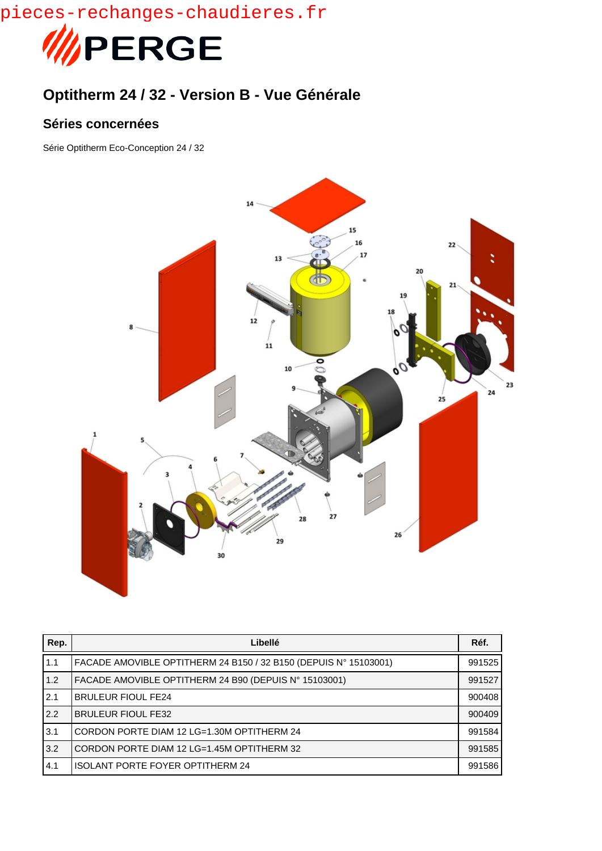

## **Optitherm 24 / 32 - Version B - Vue Générale**

## **Séries concernées**

Série Optitherm Eco-Conception 24 / 32



| Rep. | Libellé                                                          | Réf.   |
|------|------------------------------------------------------------------|--------|
| 1.1  | FACADE AMOVIBLE OPTITHERM 24 B150 / 32 B150 (DEPUIS N° 15103001) | 991525 |
| 1.2  | FACADE AMOVIBLE OPTITHERM 24 B90 (DEPUIS N° 15103001)            | 991527 |
| 2.1  | <b>BRULEUR FIOUL FE24</b>                                        | 900408 |
| 2.2  | <b>BRULEUR FIOUL FE32</b>                                        | 900409 |
| 3.1  | CORDON PORTE DIAM 12 LG=1.30M OPTITHERM 24                       | 991584 |
| 3.2  | CORDON PORTE DIAM 12 LG=1.45M OPTITHERM 32                       | 991585 |
| 4.1  | <b>ISOLANT PORTE FOYER OPTITHERM 24</b>                          | 991586 |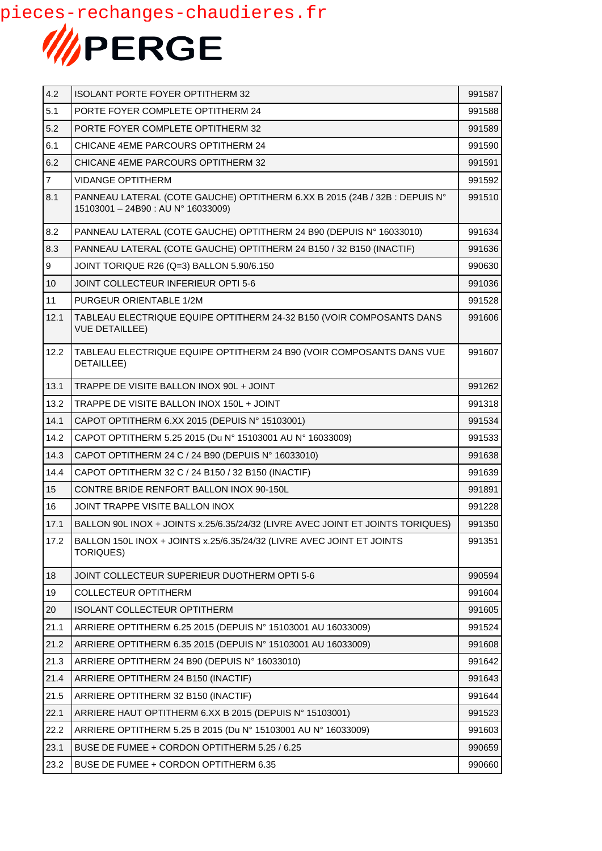

| 4.2            | <b>ISOLANT PORTE FOYER OPTITHERM 32</b>                                                                          | 991587 |
|----------------|------------------------------------------------------------------------------------------------------------------|--------|
| 5.1            | PORTE FOYER COMPLETE OPTITHERM 24                                                                                | 991588 |
| 5.2            | PORTE FOYER COMPLETE OPTITHERM 32                                                                                | 991589 |
| 6.1            | CHICANE 4EME PARCOURS OPTITHERM 24                                                                               | 991590 |
| 6.2            | CHICANE 4EME PARCOURS OPTITHERM 32                                                                               | 991591 |
| $\overline{7}$ | <b>VIDANGE OPTITHERM</b>                                                                                         | 991592 |
| 8.1            | PANNEAU LATERAL (COTE GAUCHE) OPTITHERM 6.XX B 2015 (24B / 32B : DEPUIS N°<br>15103001 - 24B90 : AU N° 16033009) | 991510 |
| 8.2            | PANNEAU LATERAL (COTE GAUCHE) OPTITHERM 24 B90 (DEPUIS N° 16033010)                                              | 991634 |
| 8.3            | PANNEAU LATERAL (COTE GAUCHE) OPTITHERM 24 B150 / 32 B150 (INACTIF)                                              | 991636 |
| 9              | JOINT TORIQUE R26 (Q=3) BALLON 5.90/6.150                                                                        | 990630 |
| 10             | JOINT COLLECTEUR INFERIEUR OPTI 5-6                                                                              | 991036 |
| 11             | PURGEUR ORIENTABLE 1/2M                                                                                          | 991528 |
| 12.1           | TABLEAU ELECTRIQUE EQUIPE OPTITHERM 24-32 B150 (VOIR COMPOSANTS DANS<br><b>VUE DETAILLEE)</b>                    | 991606 |
| 12.2           | TABLEAU ELECTRIQUE EQUIPE OPTITHERM 24 B90 (VOIR COMPOSANTS DANS VUE<br>DETAILLEE)                               | 991607 |
| 13.1           | TRAPPE DE VISITE BALLON INOX 90L + JOINT                                                                         | 991262 |
| 13.2           | TRAPPE DE VISITE BALLON INOX 150L + JOINT                                                                        | 991318 |
| 14.1           | CAPOT OPTITHERM 6.XX 2015 (DEPUIS N° 15103001)                                                                   | 991534 |
| 14.2           | CAPOT OPTITHERM 5.25 2015 (Du Nº 15103001 AU Nº 16033009)                                                        | 991533 |
| 14.3           | CAPOT OPTITHERM 24 C / 24 B90 (DEPUIS N° 16033010)                                                               | 991638 |
| 14.4           | CAPOT OPTITHERM 32 C / 24 B150 / 32 B150 (INACTIF)                                                               | 991639 |
| 15             | CONTRE BRIDE RENFORT BALLON INOX 90-150L                                                                         | 991891 |
| 16             | JOINT TRAPPE VISITE BALLON INOX                                                                                  | 991228 |
| 17.1           | BALLON 90L INOX + JOINTS x.25/6.35/24/32 (LIVRE AVEC JOINT ET JOINTS TORIQUES)                                   | 991350 |
| 17.2           | BALLON 150L INOX + JOINTS x.25/6.35/24/32 (LIVRE AVEC JOINT ET JOINTS<br><b>TORIQUES)</b>                        | 991351 |
| 18             | JOINT COLLECTEUR SUPERIEUR DUOTHERM OPTI 5-6                                                                     | 990594 |
| 19             | <b>COLLECTEUR OPTITHERM</b>                                                                                      | 991604 |
| 20             | ISOLANT COLLECTEUR OPTITHERM                                                                                     | 991605 |
| 21.1           | ARRIERE OPTITHERM 6.25 2015 (DEPUIS N° 15103001 AU 16033009)                                                     | 991524 |
| 21.2           | ARRIERE OPTITHERM 6.35 2015 (DEPUIS N° 15103001 AU 16033009)                                                     | 991608 |
| 21.3           | ARRIERE OPTITHERM 24 B90 (DEPUIS N° 16033010)                                                                    | 991642 |
| 21.4           | ARRIERE OPTITHERM 24 B150 (INACTIF)                                                                              | 991643 |
| 21.5           | ARRIERE OPTITHERM 32 B150 (INACTIF)                                                                              | 991644 |
| 22.1           | ARRIERE HAUT OPTITHERM 6.XX B 2015 (DEPUIS N° 15103001)                                                          | 991523 |
| 22.2           | ARRIERE OPTITHERM 5.25 B 2015 (Du N° 15103001 AU N° 16033009)                                                    | 991603 |
| 23.1           | BUSE DE FUMEE + CORDON OPTITHERM 5.25 / 6.25                                                                     | 990659 |
| 23.2           | BUSE DE FUMEE + CORDON OPTITHERM 6.35                                                                            | 990660 |